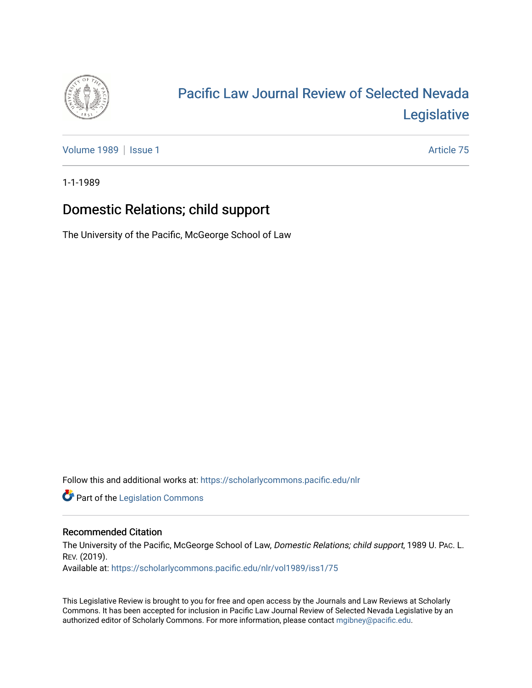

# [Pacific Law Journal Review of Selected Nevada](https://scholarlycommons.pacific.edu/nlr)  [Legislative](https://scholarlycommons.pacific.edu/nlr)

[Volume 1989](https://scholarlycommons.pacific.edu/nlr/vol1989) | [Issue 1](https://scholarlycommons.pacific.edu/nlr/vol1989/iss1) Article 75

1-1-1989

## Domestic Relations; child support

The University of the Pacific, McGeorge School of Law

Follow this and additional works at: [https://scholarlycommons.pacific.edu/nlr](https://scholarlycommons.pacific.edu/nlr?utm_source=scholarlycommons.pacific.edu%2Fnlr%2Fvol1989%2Fiss1%2F75&utm_medium=PDF&utm_campaign=PDFCoverPages) 

**Part of the [Legislation Commons](http://network.bepress.com/hgg/discipline/859?utm_source=scholarlycommons.pacific.edu%2Fnlr%2Fvol1989%2Fiss1%2F75&utm_medium=PDF&utm_campaign=PDFCoverPages)** 

### Recommended Citation

The University of the Pacific, McGeorge School of Law, Domestic Relations; child support, 1989 U. PAc. L. REV. (2019).

Available at: [https://scholarlycommons.pacific.edu/nlr/vol1989/iss1/75](https://scholarlycommons.pacific.edu/nlr/vol1989/iss1/75?utm_source=scholarlycommons.pacific.edu%2Fnlr%2Fvol1989%2Fiss1%2F75&utm_medium=PDF&utm_campaign=PDFCoverPages)

This Legislative Review is brought to you for free and open access by the Journals and Law Reviews at Scholarly Commons. It has been accepted for inclusion in Pacific Law Journal Review of Selected Nevada Legislative by an authorized editor of Scholarly Commons. For more information, please contact [mgibney@pacific.edu](mailto:mgibney@pacific.edu).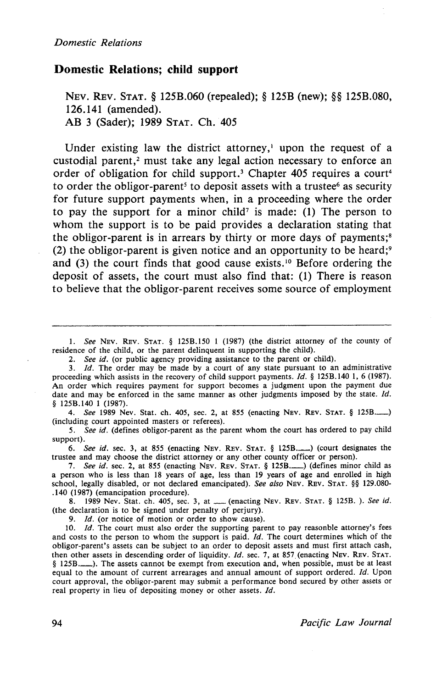#### **Domestic Relations; child support**

NEv. REv. STAT. § 125B.060 (repealed); § 125B (new); §§ 125B.080, 126.141 (amended). AB 3 (Sader); 1989 STAT. Ch. 405

Under existing law the district attorney,<sup> $1$ </sup> upon the request of a custodial parent, $2$  must take any legal action necessary to enforce an order of obligation for child support.<sup>3</sup> Chapter 405 requires a court<sup>4</sup> to order the obligor-parent<sup>5</sup> to deposit assets with a trustee<sup>6</sup> as security for future support payments when, in a proceeding where the order to pay the support for a minor child<sup>7</sup> is made: (1) The person to whom the support is to be paid provides a declaration stating that the obligor-parent is in arrears by thirty or more days of payments;<sup>8</sup> (2) the obligor-parent is given notice and an opportunity to be heard;<sup>9</sup> and (3) the court finds that good cause exists. 10 Before ordering the deposit of assets, the court must also find that: (1) There is reason to believe that the obligor-parent receives some source of employment

1. *See* NEv. REv. STAT. § 125B.l50 1 (1987) (the district attorney of the county of residence of the child, or the parent delinquent in supporting the child).

2. *See id.* (or public agency providing assistance to the parent or child).

3. *Id.* The order may be made by a court of any state pursuant to an administrative proceeding which assists in the recovery of child support payments. *ld.* § 125B.I40 I, 6 (1987). An order which requires payment for support becomes a judgment upon the payment due date and may be enforced in the same manner as other judgments imposed by the state. *ld.*  § 125B.140 1 (1987).

4. *See* 1989 Nev. Stat. ch. 405, sec. 2, at 855 (enacting Nev. Rev. STAT. § 125B.........) (including court appointed masters or referees).

5. *See id.* (defines obligor-parent as the parent whom the court has ordered to pay child support).

6. *See id.* sec. 3, at 855 (enacting NEV. REV. STAT. § 125B..........) (court designates the trustee and may choose the district attorney or any other county officer or person).

7. See id. sec. 2, at 855 (enacting NEV. REV. STAT. § 125B..........) (defines minor child as a person who is less than 18 years of age, less than 19 years of age and enrolled in high school, legally disabled, or not declared emancipated). *See also* NEv. REv. STAT. §§ 129.080- .140 (1987) (emancipation procedure).

8. 1989 Nev. Stat. ch. 405, sec. 3, at \_\_ (enacting NEv. REv. STAT. § 125B. ). See id. (the declaration is to be signed under penalty of perjury).

9. *ld.* (or notice of motion or order to show cause).

10. *Id.* The court must also order the supporting parent to pay reasonble attorney's fees and costs to the person to whom the support is paid. *Id.* The court determines which of the obligor-parent's assets can be subject to an order to deposit assets and must first attach cash, then other assets in descending order of liquidity. *!d.* sec. 7, at 857 (enacting NEV. REv. STAT. § 125B.\_). The assets cannot be exempt from execution and, when possible, must be at least equal to the amount of current arrearages and annual amount of support ordered. *Id.* Upon court approval, the obligor-parent may submit a performance bond secured by other assets or real property in lieu of depositing money or other assets. *ld.*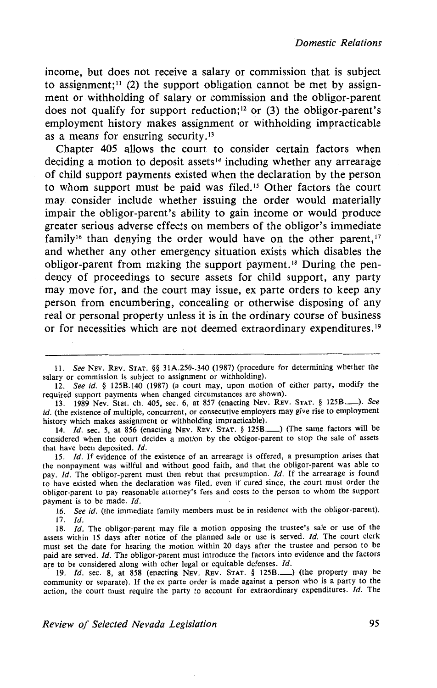income, but does not receive a salary or commission that is subject to assignment;<sup>11</sup> (2) the support obligation cannot be met by assignment or withholding of salary or commission and the obligor-parent does not qualify for support reduction;<sup>12</sup> or (3) the obligor-parent's employment history makes assignment or withholding impracticable as a means for ensuring security. <sup>13</sup>

Chapter 405 allows the court to consider certain factors when deciding a motion to deposit assets<sup>14</sup> including whether any arrearage of child support payments existed when the declaration by the person to whom support must be paid was filed. 15 Other factors the court may consider include whether issuing the order would materially impair the obligor-parent's ability to gain income or would produce greater serious adverse effects on members of the obligor's immediate family<sup>16</sup> than denying the order would have on the other parent,  $17$ and whether any other emergency situation exists which disables the obligor-parent from making the support payment. 18 During the pendency of proceedings to secure assets for child support, any party may move for, and the court may issue, ex parte orders to keep any person from encumbering, concealing or otherwise disposing of any real or personal property unless it is in the ordinary course of business or for necessities which are not deemed extraordinary expenditures. <sup>19</sup>

14. /d. sec. 5, at 856 (enacting NEV. REv. STAT. § 1258.-) (The same. factors will be considered when the court decides a motion by the obligor-parent to stop the sale of assets that have been deposited.  $Id$ .

15. *!d.* If evidence of the existence of an arrearage is offered, a presumption arises that the nonpayment was willful and without good faith, and that the obligor-parent was able to pay. *Id.* The obligor-parent must then rebut that presumption. *Id.* If the arrearage is found to have existed when the declaration was filed, even if cured since, the court must order the obligor-parent to pay reasonable attorney's fees and costs to the person to whom the support payment is to be made. */d.* 

16. *See id.* (the immediate family members must be in residence with the obligor-parent). 17. */d.* 

18. */d.* The obligor-parent may file a motion opposing the trustee's sale or use of the assets within 15 days after notice of the planned sale or use is served. Id. The court clerk must set the date for hearing the motion within 20 days after the trustee and person to be paid are served. *Id*. The obligor-parent must introduce the factors into evidence and the factors are to be considered along with other legal or equitable defenses.  $Id$ .

19. *Id.* sec. 8, at 858 (enacting NEV. REV. STAT. § 125B.........) (the property may be community or separate). If the ex parte order is made against a person who is a party to the action, the court must require the party to account for extraordinary expenditures. *!d.* The

<sup>11.</sup> *See* NEv. REv. STAT. §§ 31A.250-.340 (1987) (procedure for determining whether the salary or commission is subject to assignment or withholding).

<sup>12.</sup> *See id.* § 1258.140 (1987) (a court may, upon motion of either party, modify the required support payments when changed circumstances are shown).

<sup>13. 1989</sup> Nev. Stat. ch. 405, sec. 6, at 857 (enacting NEv. REv. STAT. § 1258.\_). *See id.* (the existence of multiple, concurrent, or consecutive employers may give rise to employment history which makes assignment or withholding impracticable).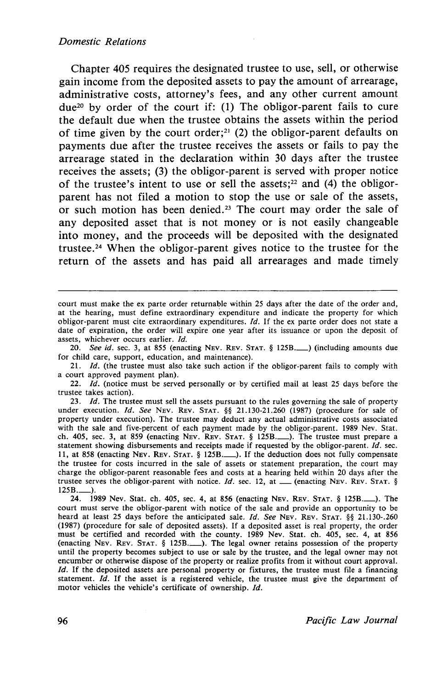#### *Domestic Relations*

Chapter 405 requires the designated trustee to use, sell, or otherwise gain income from the deposited assets to pay the amount of arrearage, administrative costs, attorney's fees, and any other current amount due20 by order of the court if: (1) The obligor-parent fails to cure the default due when the trustee obtains the assets within the period of time given by the court order;<sup>21</sup> (2) the obligor-parent defaults on payments due after the trustee receives the assets or fails to pay the arrearage stated in the declaration within 30 days after the trustee receives the assets; (3) the obligor-parent is served with proper notice of the trustee's intent to use or sell the assets; $22$  and (4) the obligorparent has not filed a motion to stop the use or sale of the assets, or such motion has been denied.<sup>23</sup> The court may order the sale of any deposited asset that is not money or is not easily changeable into money, and the proceeds will be deposited with the designated trustee. 24 When the obligor-parent gives notice to the trustee for the return of the assets and has paid all arrearages and made timely

20. *See id.* sec. 3, at 855 (enacting NEV. REV. STAT. § 125B. ) (including amounts due for child care, support, education, and maintenance).

21. *Id.* (the trustee must also take such action if the obligor-parent fails to comply with a court approved payment plan).

22. *!d.* (notice must be served personally or by certified mail at least 25 days before the trustee takes action).

23. *!d.* The trustee must sell the assets pursuant to the rules governing the sale of property under execution. *!d. See* NEV. REv. STAT. §§ 21.130-21.260 (1987) (procedure for sale of property under execution). The trustee may deduct any actual administrative costs associated with the sale and five-percent of each payment made by the obligor-parent. 1989 Nev. Stat. ch. 405, sec. 3, at 859 (enacting NEv. REv. STAT. § 125B.\_). The trustee must prepare a statement showing disbursements and receipts made if requested by the obligor-parent. *!d.* sec. 11, at 858 (enacting NEv. REv. STAT.§ 125B.\_). If the deduction does not fully compensate the trustee for costs incurred in the sale of assets or statement preparation, the court may charge the obligor-parent reasonable fees and costs at a hearing held within 20 days after the trustee serves the obligor-parent with notice.  $Id$ , sec. 12, at  $\qquad$  (enacting NEV. REV. STAT. § 125B.\_).

24. 1989 Nev. Stat. ch. 405, sec. 4, at 856 (enacting NEv. REv. STAT. § 125B.\_). The court must serve the obligor-parent with notice of the sale and provide an opportunity to be heard at least 25 days before the anticipated sale. *!d. See* NEv. REv. STAT. §§ 21.130-.260 (1987) (procedure for sale of deposited assets). If a deposited asset is real property, the order must be certified and recorded with the county. 1989 Nev. Stat. ch. 405, sec. 4, at 856 (enacting NEv. REv. STAT. § 125B.\_). The legal owner retains possession of the property until the property becomes subject to use or sale by the trustee, and the legal owner may not encumber or otherwise dispose of the property or realize profits from it without court approval. *Id.* If the deposited assets are personal property or fixtures, the trustee must file a financing statement. *Id.* If the asset is a registered vehicle, the trustee must give the department of motor vehicles the vehicle's certificate of ownership. *!d.* 

court must make the ex parte order returnable within 25 days after the date of the order and, at the hearing, must define extraordinary expenditure and indicate the property for which obligor-parent must cite extraordinary expenditures. *!d.* If the ex parte order does not state a date of expiration, the order will expire one year after its issuance or upon the deposit of assets, whichever occurs earlier. *Id.*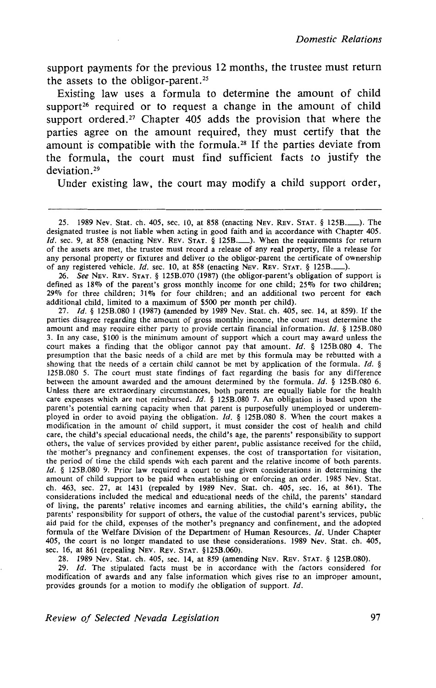support payments for the previous 12 months, the trustee must return the assets to the obligor-parent.<sup>25</sup>

Existing law uses a formula to determine the amount of child support<sup>26</sup> required or to request a change in the amount of child support ordered.<sup>27</sup> Chapter 405 adds the provision that where the parties agree on the amount required, they must certify that the amount is compatible with the formula.<sup>28</sup> If the parties deviate from the formula, the court must find sufficient facts to justify the deviation.<sup>29</sup>

Under existing law, the court may modify a child support order,

26. See NEv. REv. STAT. § 125B.070 (1987) (the obligor-parent's obligation of support is defined as  $18\%$  of the parent's gross monthly income for one child; 25% for two children;  $29\%$  for three children;  $31\%$  for four children; and an additional two percent for each additional child, limited to a maximum of \$500 per month per child).

27. /d. § 125B.080 1 (1987) (amended by 1989 Nev. Stat. ch. 405, sec. 14, at 859). If the parties disagree regarding the amount of gross monthly income, the court must determine the amount and may require either party to provide certain financial information. */d.* § 125B.080 3. In any case, \$100 is the minimum amount of support which a court may award unless the court makes a finding that the obligor cannot pay that amount. */d.* § 125B.080 4. The presumption that the basic needs of a child are met by this formula may be rebutted with a showing that the needs of a certain child cannot be met by application of the formula. Id.  $\S$ 125B.080 5. The court must state findings of fact regarding the basis for any difference between the amount awarded and the amount determined by the formula.  $Id. \S$  125B.080 6. Unless there are extraordinary circumstances, both parents are equally liable for the health care expenses which are not reimbursed. */d.* § 125B.080 7. An obligation is based upon the parent's potential earning capacity when that parent is purposefully unemployed or underemployed in order to avoid paying the obligation.  $Id. \S$  125B.080 8. When the court makes a modification in the amount of child support, it must consider the cost of health and child care, the child's special educational needs, the child's age, the parents' responsibility to support others, the value of services provided by either parent, public assistance received for the child, the mother's pregnancy and confinement expenses, the cost of transportation for visitation, the period of time the child spends with each parent and the relative income of both parents.  $Id.$  § 125B.080 9. Prior law required a court to use given considerations in determining the amount of child support to be paid when establishing or enforcing an order. 1985 Nev. Stat. ch. 463, sec. 27, at 1431 (repealed by 1989 Nev. Stat. ch. 405, sec. 16, at 861). The considerations included the medical and educational needs of the child, the parents' standard of living, the parents' relative incomes and earning abilities, the child's earning ability, the parents' responsibility for support of others, the value of the custodial parent's services, public aid paid for the child, expenses of the mother's pregnancy and confinement, and the adopted formula of the Welfare Division of the Department of Human Resources. Id. Under Chapter 405, the court is no longer mandated to use these considerations. 1989 Nev. Stat. ch. 405, sec. 16, at 861 (repealing NEv. REv. STAT. §125B.060).

28. 1989 Nev. Stat. ch. 405, sec. 14, at 859 (amending NEV. REv. STAT. § 125B.080).

29. */d.* The stipulated facts must be in accordance with the factors considered for modification of awards and any false information which gives rise to an improper amount, provides grounds for a motion to modify the obligation of support. Id.

*Review of Selected Nevada Legislation* 97

<sup>25. 1989</sup> Nev. Stat. ch. 405, sec. 10, at 858 (enacting NEv. REv. STAT. § 125B.\_). The designated trustee is not liable when acting in good faith and in accordance with Chapter 405. Id. sec. 9, at 858 (enacting NEV. REV. STAT. § 125B..........). When the requirements for return of the assets are met, the trustee must record a release of any real property, file a release for any personal property or fixtures and deliver to the obligor-parent the certificate of ownership of any registered vehicle. Id. sec. 10, at 858 (enacting NEV. REV. STAT. § 125B..........).